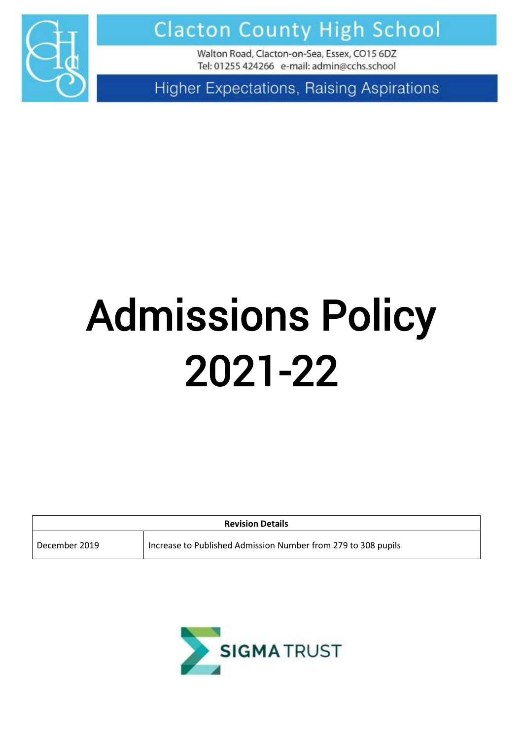

**Clacton County High School** 

Walton Road, Clacton-on-Sea, Essex, CO15 6DZ Tel: 01255 424266 e-mail: admin@cchs.school

**Higher Expectations, Raising Aspirations** 

# Admissions Policy 2021-22

| <b>Revision Details</b> |                                                               |
|-------------------------|---------------------------------------------------------------|
| December 2019           | Increase to Published Admission Number from 279 to 308 pupils |

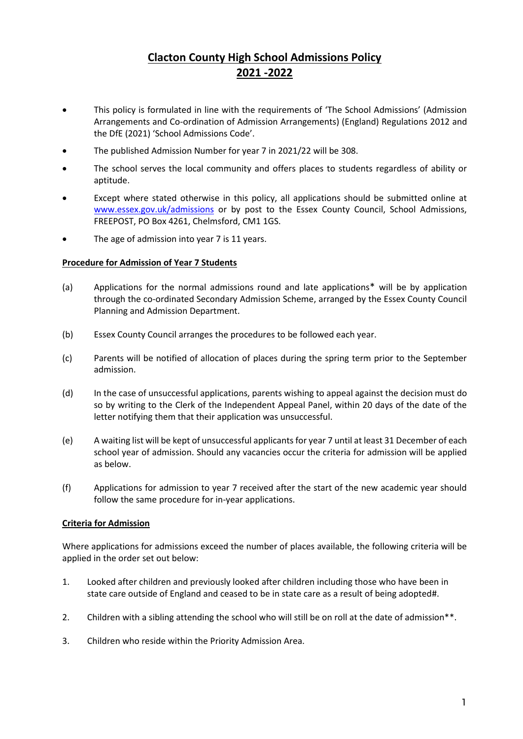## **Clacton County High School Admissions Policy 2021 -2022**

- This policy is formulated in line with the requirements of 'The School Admissions' (Admission Arrangements and Co-ordination of Admission Arrangements) (England) Regulations 2012 and the DfE (2021) 'School Admissions Code'.
- The published Admission Number for year 7 in 2021/22 will be 308.
- The school serves the local community and offers places to students regardless of ability or aptitude.
- Except where stated otherwise in this policy, all applications should be submitted online at [www.essex.gov.uk/admissions](http://www.essex.gov.uk/admissions) or by post to the Essex County Council, School Admissions, FREEPOST, PO Box 4261, Chelmsford, CM1 1GS.
- The age of admission into year 7 is 11 years.

#### **Procedure for Admission of Year 7 Students**

- (a) Applications for the normal admissions round and late applications\* will be by application through the co-ordinated Secondary Admission Scheme, arranged by the Essex County Council Planning and Admission Department.
- (b) Essex County Council arranges the procedures to be followed each year.
- (c) Parents will be notified of allocation of places during the spring term prior to the September admission.
- (d) In the case of unsuccessful applications, parents wishing to appeal against the decision must do so by writing to the Clerk of the Independent Appeal Panel, within 20 days of the date of the letter notifying them that their application was unsuccessful.
- (e) A waiting list will be kept of unsuccessful applicants for year 7 until at least 31 December of each school year of admission. Should any vacancies occur the criteria for admission will be applied as below.
- (f) Applications for admission to year 7 received after the start of the new academic year should follow the same procedure for in-year applications.

### **Criteria for Admission**

Where applications for admissions exceed the number of places available, the following criteria will be applied in the order set out below:

- 1. Looked after children and previously looked after children including those who have been in state care outside of England and ceased to be in state care as a result of being adopted#.
- 2. Children with a sibling attending the school who will still be on roll at the date of admission\*\*.
- 3. Children who reside within the Priority Admission Area.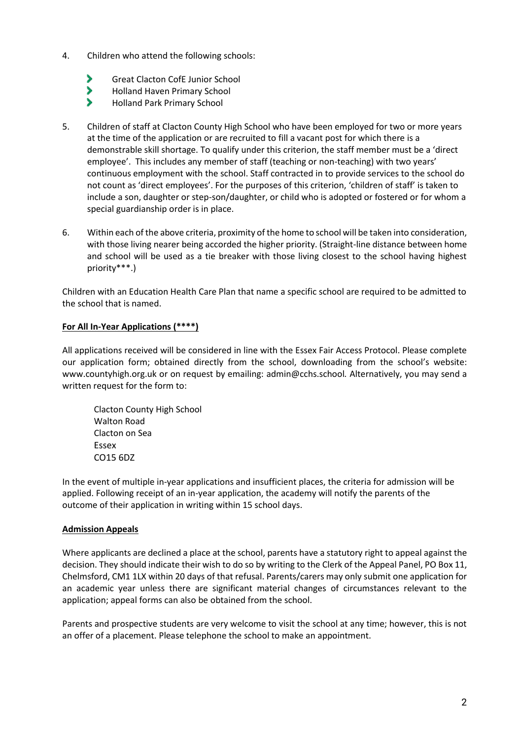- 4. Children who attend the following schools:
	- 5 Great Clacton CofE Junior School
	- > Holland Haven Primary School
	- S Holland Park Primary School
- 5. Children of staff at Clacton County High School who have been employed for two or more years at the time of the application or are recruited to fill a vacant post for which there is a demonstrable skill shortage. To qualify under this criterion, the staff member must be a 'direct employee'. This includes any member of staff (teaching or non-teaching) with two years' continuous employment with the school. Staff contracted in to provide services to the school do not count as 'direct employees'. For the purposes of this criterion, 'children of staff' is taken to include a son, daughter or step-son/daughter, or child who is adopted or fostered or for whom a special guardianship order is in place.
- 6. Within each of the above criteria, proximity of the home to school will be taken into consideration, with those living nearer being accorded the higher priority. (Straight-line distance between home and school will be used as a tie breaker with those living closest to the school having highest priority\*\*\*.)

Children with an Education Health Care Plan that name a specific school are required to be admitted to the school that is named.

### **For All In-Year Applications (\*\*\*\*)**

All applications received will be considered in line with the Essex Fair Access Protocol. Please complete our application form; obtained directly from the school, downloading from the school's website: www.countyhigh.org.uk or on request by emailing: [admin@cchs.school](mailto:admin@cchs.school)*.* Alternatively, you may send a written request for the form to:

Clacton County High School Walton Road Clacton on Sea Essex CO15 6DZ

In the event of multiple in-year applications and insufficient places, the criteria for admission will be applied. Following receipt of an in-year application, the academy will notify the parents of the outcome of their application in writing within 15 school days.

### **Admission Appeals**

Where applicants are declined a place at the school, parents have a statutory right to appeal against the decision. They should indicate their wish to do so by writing to the Clerk of the Appeal Panel, PO Box 11, Chelmsford, CM1 1LX within 20 days of that refusal. Parents/carers may only submit one application for an academic year unless there are significant material changes of circumstances relevant to the application; appeal forms can also be obtained from the school.

Parents and prospective students are very welcome to visit the school at any time; however, this is not an offer of a placement. Please telephone the school to make an appointment.